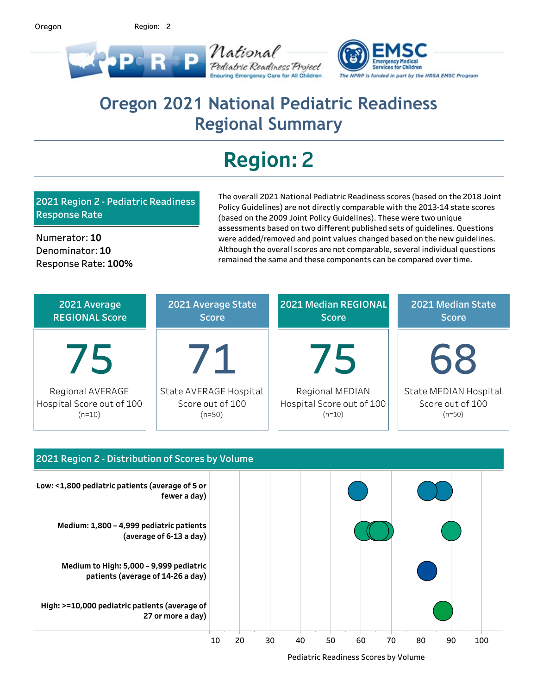2 Region:



## Oregon 2021 National Pediatric Readiness **Regional Summary**

# **Region:2**

**2021Region2-PediatricReadiness Response Rate** 

Numerator:10 Denominator:10 Response Rate: 100% The overall 2021 National Pediatric Readiness scores (based on the 2018 Joint Policy Guidelines) are not directly comparable with the 2013-14 state scores (based on the 2009 Joint Policy Guidelines). These were two unique assessments based on two different published sets of guidelines. Questions were added/removed and point values changed based on the new guidelines. Although the overall scores are not comparable, several individual questions remained the same and these components can be compared over time.

| 2021 Average              | 2021 Average State     | 2021 Median REGIONAL      | 2021 Median State     |  |  |
|---------------------------|------------------------|---------------------------|-----------------------|--|--|
| <b>REGIONAL Score</b>     | <b>Score</b>           | <b>Score</b>              | <b>Score</b>          |  |  |
| 75                        | $\mathcal{L}$          | 75                        | 68                    |  |  |
| Regional AVERAGE          | State AVERAGE Hospital | Regional MEDIAN           | State MEDIAN Hospital |  |  |
| Hospital Score out of 100 | Score out of 100       | Hospital Score out of 100 | Score out of 100      |  |  |
| $(n=10)$                  | $(n=50)$               | $(n=10)$                  | $(n=50)$              |  |  |



Pediatric Readiness Scores by Volume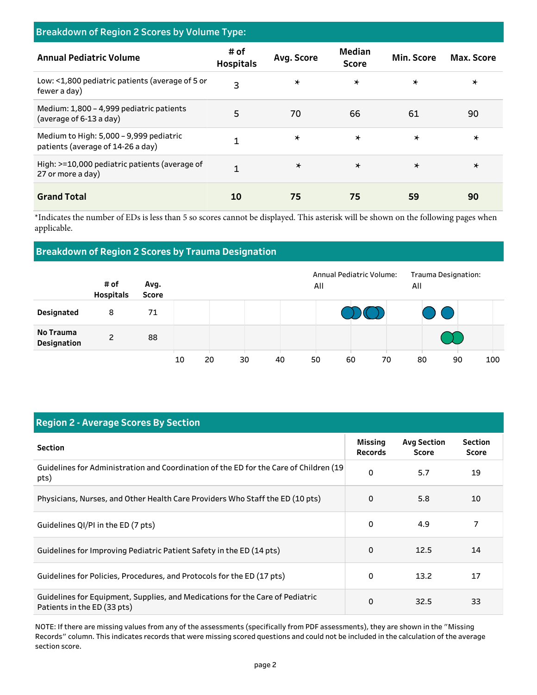| <b>Breakdown of Region 2 Scores by Volume Type:</b>                          |                          |            |                               |            |            |  |  |  |
|------------------------------------------------------------------------------|--------------------------|------------|-------------------------------|------------|------------|--|--|--|
| <b>Annual Pediatric Volume</b>                                               | # of<br><b>Hospitals</b> | Avg. Score | <b>Median</b><br><b>Score</b> | Min. Score | Max. Score |  |  |  |
| Low: <1,800 pediatric patients (average of 5 or<br>fewer a day)              | 3                        | $\star$    | $\star$                       | $\star$    | $\star$    |  |  |  |
| Medium: 1,800 - 4,999 pediatric patients<br>(average of 6-13 a day)          | 5                        | 70         | 66                            | 61         | 90         |  |  |  |
| Medium to High: 5,000 - 9,999 pediatric<br>patients (average of 14-26 a day) | 1                        | $\star$    | $\star$                       | $\star$    | $\star$    |  |  |  |
| High: >=10,000 pediatric patients (average of<br>27 or more a day)           | 1                        | $\star$    | $\star$                       | $\star$    | $\star$    |  |  |  |
| <b>Grand Total</b>                                                           | 10                       | 75         | 75                            | 59         | 90         |  |  |  |

\*Indicates the number of EDs is less than 5 so scores cannot be displayed. This asterisk will be shown on the following pages when applicable.

## **Breakdown of Region 2 Scores by Trauma Designation**

|                          | # of<br><b>Hospitals</b> | Avg.<br>Score |    |    |    |    | All | Annual Pediatric Volume: |    | All | Trauma Designation:   |     |
|--------------------------|--------------------------|---------------|----|----|----|----|-----|--------------------------|----|-----|-----------------------|-----|
| <b>Designated</b>        | 8                        | 71            |    |    |    |    |     |                          |    |     | $\bigcirc$ $\bigcirc$ |     |
| No Trauma<br>Designation | 2                        | 88            |    |    |    |    |     |                          |    |     |                       |     |
|                          |                          |               | 10 | 20 | 30 | 40 | 50  | 60                       | 70 | 80  | 90                    | 100 |

## **Region 2 - Average Scores By Section**

| <b>Section</b>                                                                                               | Missing<br><b>Records</b> | <b>Avg Section</b><br>Score | <b>Section</b><br><b>Score</b> |
|--------------------------------------------------------------------------------------------------------------|---------------------------|-----------------------------|--------------------------------|
| Guidelines for Administration and Coordination of the ED for the Care of Children (19<br>pts)                | 0                         | 5.7                         | 19                             |
| Physicians, Nurses, and Other Health Care Providers Who Staff the ED (10 pts)                                | $\Omega$                  | 5.8                         | 10                             |
| Guidelines QI/PI in the ED (7 pts)                                                                           | 0                         | 4.9                         | 7                              |
| Guidelines for Improving Pediatric Patient Safety in the ED (14 pts)                                         | 0                         | 12.5                        | 14                             |
| Guidelines for Policies, Procedures, and Protocols for the ED (17 pts)                                       | 0                         | 13.2                        | 17                             |
| Guidelines for Equipment, Supplies, and Medications for the Care of Pediatric<br>Patients in the ED (33 pts) | 0                         | 32.5                        | 33                             |

NOTE: If there are missing values from any of the assessments (specifically from PDF assessments), they are shown in the "Missing Records" column. This indicates records that were missing scored questions and could not be included in the calculation of the average section score.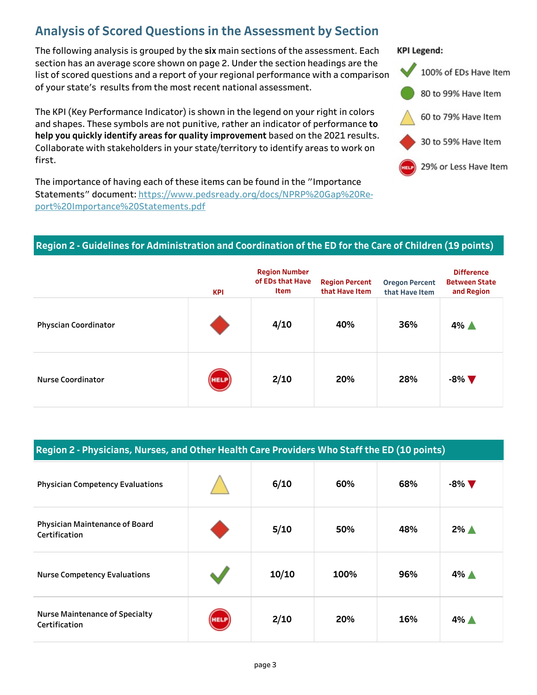## **Analysis of Scored Questions in the Assessment by Section**

The following analysis is grouped by the six main sections of the assessment. Each section has an average score shown on page 2. Under the section headings are the list of scored questions and a report of your regional performance with a comparison of your state's results from the most recent national assessment.

The KPI (Key Performance Indicator) is shown in the legend on your right in colors and shapes. These symbols are not punitive, rather an indicator of performance to help you quickly identify areas for quality improvement based on the 2021 results. Collaborate with stakeholders in your state/territory to identify areas to work on first.

The importance of having each of these items can be found in the "Importance Statements" document: https://www.pedsready.org/docs/NPRP%20Gap%20Report%20Importance%20Statements.pdf

#### **KPI Legend:**



## Region 2 - Guidelines for Administration and Coordination of the ED for the Care of Children (19 points)

|                             | <b>KPI</b>  | <b>Region Number</b><br>of EDs that Have<br><b>Item</b> | <b>Region Percent</b><br>that Have Item | <b>Oregon Percent</b><br>that Have Item | <b>Difference</b><br><b>Between State</b><br>and Region |
|-----------------------------|-------------|---------------------------------------------------------|-----------------------------------------|-----------------------------------------|---------------------------------------------------------|
| <b>Physcian Coordinator</b> |             | 4/10                                                    | 40%                                     | 36%                                     | $4\%$ $\triangle$                                       |
| Nurse Coordinator           | <b>HELP</b> | 2/10                                                    | 20%                                     | 28%                                     | $-8\%$ $\nabla$                                         |

| Region 2 - Physicians, Nurses, and Other Health Care Providers Who Staff the ED (10 points) |
|---------------------------------------------------------------------------------------------|
|---------------------------------------------------------------------------------------------|

| <b>Physician Competency Evaluations</b>                |             | 6/10  | 60%  | 68% | $-8\%$ $\nabla$   |
|--------------------------------------------------------|-------------|-------|------|-----|-------------------|
| <b>Physician Maintenance of Board</b><br>Certification |             | 5/10  | 50%  | 48% | $2\%$ $\triangle$ |
| <b>Nurse Competency Evaluations</b>                    |             | 10/10 | 100% | 96% | $4\%$ $\triangle$ |
| <b>Nurse Maintenance of Specialty</b><br>Certification | <b>HELP</b> | 2/10  | 20%  | 16% | $4\%$ $\triangle$ |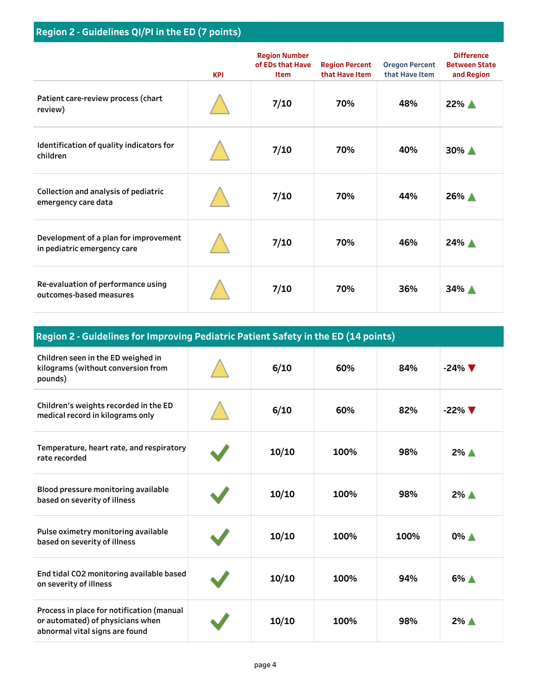|                                                                      | <b>KPI</b> | <b>Region Number</b><br>of EDs that Have<br><b>Item</b> | <b>Region Percent</b><br>that Have Item | <b>Oregon Percent</b><br>that Have Item | <b>Difference</b><br><b>Between State</b><br>and Region |
|----------------------------------------------------------------------|------------|---------------------------------------------------------|-----------------------------------------|-----------------------------------------|---------------------------------------------------------|
| Patient care-review process (chart<br>review)                        |            | 7/10                                                    | 70%                                     | 48%                                     | 22% A                                                   |
| Identification of quality indicators for<br>children                 |            | 7/10                                                    | 70%                                     | 40%                                     | 30% A                                                   |
| Collection and analysis of pediatric<br>emergency care data          |            | 7/10                                                    | 70%                                     | 44%                                     | 26% A                                                   |
| Development of a plan for improvement<br>in pediatric emergency care |            | 7/10                                                    | 70%                                     | 46%                                     | 24% A                                                   |
| Re-evaluation of performance using<br>outcomes-based measures        |            | 7/10                                                    | 70%                                     | 36%                                     | 34% A                                                   |

| Region 2 - Guidelines for Improving Pediatric Patient Safety in the ED (14 points)                              |  |       |      |      |                   |  |  |  |
|-----------------------------------------------------------------------------------------------------------------|--|-------|------|------|-------------------|--|--|--|
| Children seen in the ED weighed in<br>kilograms (without conversion from<br>pounds)                             |  | 6/10  | 60%  | 84%  | $-24\%$ $\nabla$  |  |  |  |
| Children's weights recorded in the ED<br>medical record in kilograms only                                       |  | 6/10  | 60%  | 82%  | $-22\%$ $\nabla$  |  |  |  |
| Temperature, heart rate, and respiratory<br>rate recorded                                                       |  | 10/10 | 100% | 98%  | $2\%$ $\triangle$ |  |  |  |
| Blood pressure monitoring available<br>based on severity of illness                                             |  | 10/10 | 100% | 98%  | $2\%$ $\triangle$ |  |  |  |
| Pulse oximetry monitoring available<br>based on severity of illness                                             |  | 10/10 | 100% | 100% | 0% ▲              |  |  |  |
| End tidal CO2 monitoring available based<br>on severity of illness                                              |  | 10/10 | 100% | 94%  | 6% A              |  |  |  |
| Process in place for notification (manual<br>or automated) of physicians when<br>abnormal vital signs are found |  | 10/10 | 100% | 98%  | 2% ▲              |  |  |  |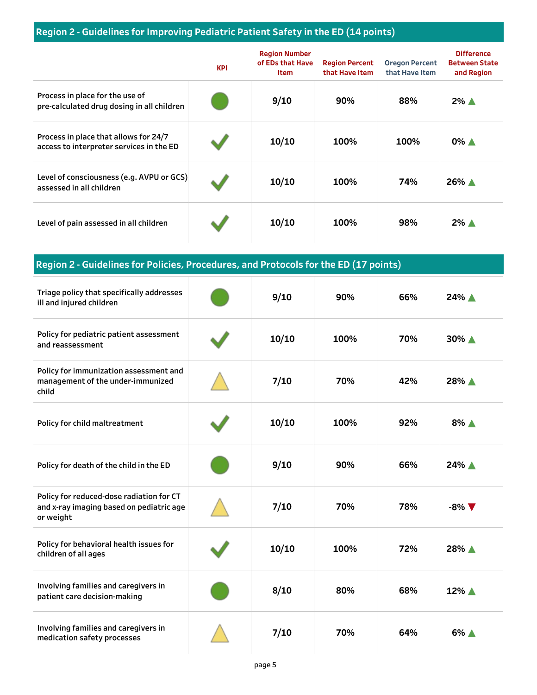## Region 2 - Guidelines for Improving Pediatric Patient Safety in the ED (14 points)

|                                                                                   | <b>KPI</b> | <b>Region Number</b><br>of EDs that Have<br><b>Item</b> | <b>Region Percent</b><br>that Have Item | <b>Oregon Percent</b><br>that Have Item | <b>Difference</b><br><b>Between State</b><br>and Region |
|-----------------------------------------------------------------------------------|------------|---------------------------------------------------------|-----------------------------------------|-----------------------------------------|---------------------------------------------------------|
| Process in place for the use of<br>pre-calculated drug dosing in all children     |            | 9/10                                                    | 90%                                     | 88%                                     | $2\%$ $\triangle$                                       |
| Process in place that allows for 24/7<br>access to interpreter services in the ED |            | 10/10                                                   | 100%                                    | 100%                                    | $0\%$ $\triangle$                                       |
| Level of consciousness (e.g. AVPU or GCS)<br>assessed in all children             |            | 10/10                                                   | 100%                                    | 74%                                     | 26% ▲                                                   |
| Level of pain assessed in all children                                            |            | 10/10                                                   | 100%                                    | 98%                                     | $2\%$ $\triangle$                                       |

**Region 2 - Guidelines for Policies, Procedures, and Protocols for the ED (17 points)** 

| Triage policy that specifically addresses<br>ill and injured children                             | 9/10  | 90%  | 66% | 24% ▲           |
|---------------------------------------------------------------------------------------------------|-------|------|-----|-----------------|
| Policy for pediatric patient assessment<br>and reassessment                                       | 10/10 | 100% | 70% | 30% A           |
| Policy for immunization assessment and<br>management of the under-immunized<br>child              | 7/10  | 70%  | 42% | 28% ▲           |
| Policy for child maltreatment                                                                     | 10/10 | 100% | 92% | 8% A            |
| Policy for death of the child in the ED                                                           | 9/10  | 90%  | 66% | 24% A           |
| Policy for reduced-dose radiation for CT<br>and x-ray imaging based on pediatric age<br>or weight | 7/10  | 70%  | 78% | $-8\%$ $\nabla$ |
| Policy for behavioral health issues for<br>children of all ages                                   | 10/10 | 100% | 72% | 28% ▲           |
| Involving families and caregivers in<br>patient care decision-making                              | 8/10  | 80%  | 68% | 12% ▲           |
| Involving families and caregivers in<br>medication safety processes                               | 7/10  | 70%  | 64% | 6% A            |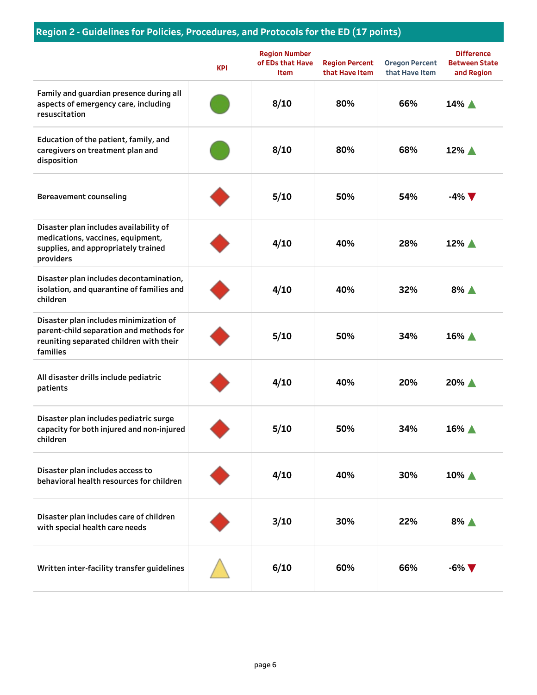## Region 2 - Guidelines for Policies, Procedures, and Protocols for the ED (17 points)

|                                                                                                                                          | <b>KPI</b> | <b>Region Number</b><br>of EDs that Have<br><b>Item</b> | <b>Region Percent</b><br>that Have Item | <b>Oregon Percent</b><br>that Have Item | <b>Difference</b><br><b>Between State</b><br>and Region |
|------------------------------------------------------------------------------------------------------------------------------------------|------------|---------------------------------------------------------|-----------------------------------------|-----------------------------------------|---------------------------------------------------------|
| Family and guardian presence during all<br>aspects of emergency care, including<br>resuscitation                                         |            | 8/10                                                    | 80%                                     | 66%                                     | 14% ▲                                                   |
| Education of the patient, family, and<br>caregivers on treatment plan and<br>disposition                                                 |            | 8/10                                                    | 80%                                     | 68%                                     | 12% A                                                   |
| <b>Bereavement counseling</b>                                                                                                            |            | 5/10                                                    | 50%                                     | 54%                                     | $-4\%$ $\nabla$                                         |
| Disaster plan includes availability of<br>medications, vaccines, equipment,<br>supplies, and appropriately trained<br>providers          |            | 4/10                                                    | 40%                                     | 28%                                     | 12% ▲                                                   |
| Disaster plan includes decontamination,<br>isolation, and quarantine of families and<br>children                                         |            | 4/10                                                    | 40%                                     | 32%                                     | $8\%$ $\triangle$                                       |
| Disaster plan includes minimization of<br>parent-child separation and methods for<br>reuniting separated children with their<br>families |            | 5/10                                                    | 50%                                     | 34%                                     | 16% A                                                   |
| All disaster drills include pediatric<br>patients                                                                                        |            | 4/10                                                    | 40%                                     | 20%                                     | 20% A                                                   |
| Disaster plan includes pediatric surge<br>capacity for both injured and non-injured<br>children                                          |            | 5/10                                                    | 50%                                     | 34%                                     | 16% ▲                                                   |
| Disaster plan includes access to<br>behavioral health resources for children                                                             |            | 4/10                                                    | 40%                                     | 30%                                     | 10% $\triangle$                                         |
| Disaster plan includes care of children<br>with special health care needs                                                                |            | 3/10                                                    | 30%                                     | 22%                                     | $8\%$ $\triangle$                                       |
| Written inter-facility transfer guidelines                                                                                               |            | 6/10                                                    | 60%                                     | 66%                                     | $-6\%$ $\nabla$                                         |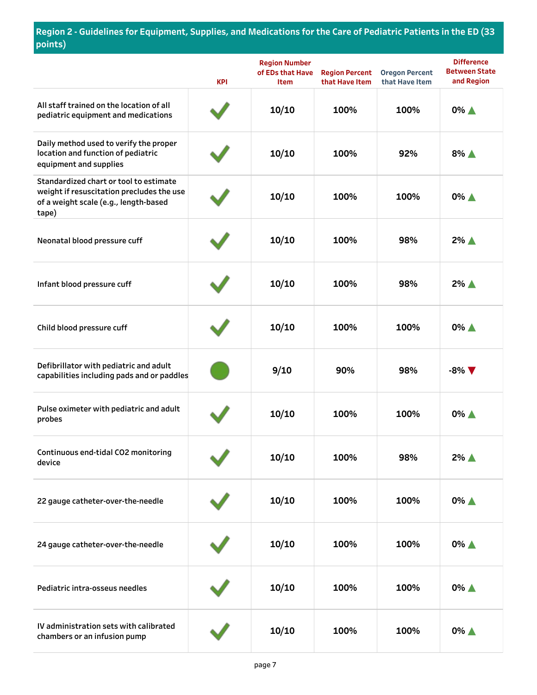|                                                                                                                                       | <b>KPI</b> | <b>Region Number</b><br>of EDs that Have<br><b>Item</b> | <b>Region Percent</b><br>that Have Item | <b>Oregon Percent</b><br>that Have Item | <b>Difference</b><br><b>Between State</b><br>and Region |
|---------------------------------------------------------------------------------------------------------------------------------------|------------|---------------------------------------------------------|-----------------------------------------|-----------------------------------------|---------------------------------------------------------|
| All staff trained on the location of all<br>pediatric equipment and medications                                                       |            | 10/10                                                   | 100%                                    | 100%                                    | 0% A                                                    |
| Daily method used to verify the proper<br>location and function of pediatric<br>equipment and supplies                                |            | 10/10                                                   | 100%                                    | 92%                                     | $8\%$ $\triangle$                                       |
| Standardized chart or tool to estimate<br>weight if resuscitation precludes the use<br>of a weight scale (e.g., length-based<br>tape) |            | 10/10                                                   | 100%                                    | 100%                                    | $0\%$ $\triangle$                                       |
| Neonatal blood pressure cuff                                                                                                          |            | 10/10                                                   | 100%                                    | 98%                                     | $2\%$ $\triangle$                                       |
| Infant blood pressure cuff                                                                                                            |            | 10/10                                                   | 100%                                    | 98%                                     | $2\%$ $\triangle$                                       |
| Child blood pressure cuff                                                                                                             |            | 10/10                                                   | 100%                                    | 100%                                    | 0% A                                                    |
| Defibrillator with pediatric and adult<br>capabilities including pads and or paddles                                                  |            | 9/10                                                    | 90%                                     | 98%                                     | $-8\%$ $\nabla$                                         |
| Pulse oximeter with pediatric and adult<br>probes                                                                                     |            | 10/10                                                   | 100%                                    | 100%                                    | 0% ▲                                                    |
| Continuous end-tidal CO2 monitoring<br>device                                                                                         |            | 10/10                                                   | 100%                                    | 98%                                     | $2\%$ $\triangle$                                       |
| 22 gauge catheter-over-the-needle                                                                                                     |            | 10/10                                                   | 100%                                    | 100%                                    | 0% ▲                                                    |
| 24 gauge catheter-over-the-needle                                                                                                     |            | 10/10                                                   | 100%                                    | 100%                                    | $0\%$ $\triangle$                                       |
| Pediatric intra-osseus needles                                                                                                        |            | 10/10                                                   | 100%                                    | 100%                                    | $0\%$ $\triangle$                                       |
| IV administration sets with calibrated<br>chambers or an infusion pump                                                                |            | 10/10                                                   | 100%                                    | 100%                                    | $0\%$ $\triangle$                                       |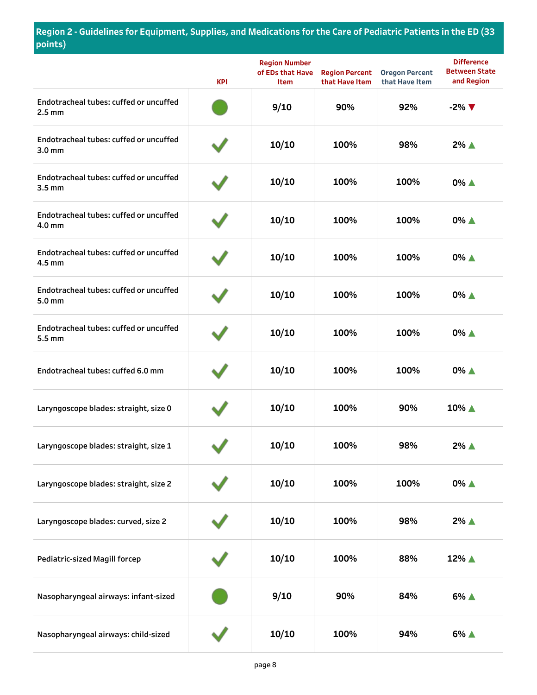|                                                             | <b>KPI</b> | <b>Region Number</b><br>of EDs that Have<br><b>Item</b> | <b>Region Percent</b><br>that Have Item | <b>Oregon Percent</b><br>that Have Item | <b>Difference</b><br><b>Between State</b><br>and Region |
|-------------------------------------------------------------|------------|---------------------------------------------------------|-----------------------------------------|-----------------------------------------|---------------------------------------------------------|
| Endotracheal tubes: cuffed or uncuffed<br>$2.5$ mm          |            | 9/10                                                    | 90%                                     | 92%                                     | $-2\%$ $\nabla$                                         |
| Endotracheal tubes: cuffed or uncuffed<br>3.0 <sub>mm</sub> |            | 10/10                                                   | 100%                                    | 98%                                     | $2\%$ $\triangle$                                       |
| Endotracheal tubes: cuffed or uncuffed<br>3.5 <sub>mm</sub> |            | 10/10                                                   | 100%                                    | 100%                                    | 0% ▲                                                    |
| Endotracheal tubes: cuffed or uncuffed<br>4.0 mm            |            | 10/10                                                   | 100%                                    | 100%                                    | 0% ▲                                                    |
| Endotracheal tubes: cuffed or uncuffed<br>$4.5$ mm          |            | 10/10                                                   | 100%                                    | 100%                                    | 0% ▲                                                    |
| Endotracheal tubes: cuffed or uncuffed<br>5.0 <sub>mm</sub> |            | 10/10                                                   | 100%                                    | 100%                                    | 0% ▲                                                    |
| Endotracheal tubes: cuffed or uncuffed<br>5.5 mm            |            | 10/10                                                   | 100%                                    | 100%                                    | 0% ▲                                                    |
| Endotracheal tubes: cuffed 6.0 mm                           |            | 10/10                                                   | 100%                                    | 100%                                    | 0% ▲                                                    |
| Laryngoscope blades: straight, size 0                       |            | 10/10                                                   | 100%                                    | 90%                                     | 10% ▲                                                   |
| Laryngoscope blades: straight, size 1                       |            | 10/10                                                   | 100%                                    | 98%                                     | 2% ▲                                                    |
| Laryngoscope blades: straight, size 2                       |            | 10/10                                                   | 100%                                    | 100%                                    | 0% ▲                                                    |
| Laryngoscope blades: curved, size 2                         |            | 10/10                                                   | 100%                                    | 98%                                     | 2% ▲                                                    |
| <b>Pediatric-sized Magill forcep</b>                        |            | 10/10                                                   | 100%                                    | 88%                                     | 12% ▲                                                   |
| Nasopharyngeal airways: infant-sized                        |            | 9/10                                                    | 90%                                     | 84%                                     | 6% ▲                                                    |
| Nasopharyngeal airways: child-sized                         |            | 10/10                                                   | 100%                                    | 94%                                     | 6% ▲                                                    |